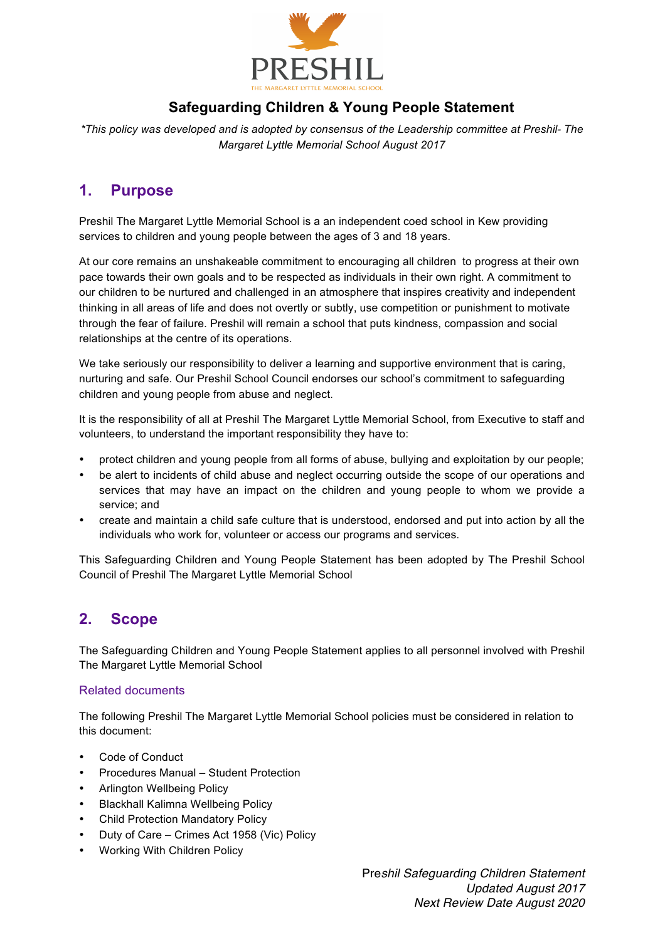

# **Safeguarding Children & Young People Statement**

*\*This policy was developed and is adopted by consensus of the Leadership committee at Preshil- The Margaret Lyttle Memorial School August 2017*

## **1. Purpose**

Preshil The Margaret Lyttle Memorial School is a an independent coed school in Kew providing services to children and young people between the ages of 3 and 18 years.

At our core remains an unshakeable commitment to encouraging all children to progress at their own pace towards their own goals and to be respected as individuals in their own right. A commitment to our children to be nurtured and challenged in an atmosphere that inspires creativity and independent thinking in all areas of life and does not overtly or subtly, use competition or punishment to motivate through the fear of failure. Preshil will remain a school that puts kindness, compassion and social relationships at the centre of its operations.

We take seriously our responsibility to deliver a learning and supportive environment that is caring, nurturing and safe. Our Preshil School Council endorses our school's commitment to safeguarding children and young people from abuse and neglect.

It is the responsibility of all at Preshil The Margaret Lyttle Memorial School, from Executive to staff and volunteers, to understand the important responsibility they have to:

- protect children and young people from all forms of abuse, bullying and exploitation by our people;
- be alert to incidents of child abuse and neglect occurring outside the scope of our operations and services that may have an impact on the children and young people to whom we provide a service; and
- create and maintain a child safe culture that is understood, endorsed and put into action by all the individuals who work for, volunteer or access our programs and services.

This Safeguarding Children and Young People Statement has been adopted by The Preshil School Council of Preshil The Margaret Lyttle Memorial School

## **2. Scope**

The Safeguarding Children and Young People Statement applies to all personnel involved with Preshil The Margaret Lyttle Memorial School

### Related documents

The following Preshil The Margaret Lyttle Memorial School policies must be considered in relation to this document:

- Code of Conduct
- Procedures Manual Student Protection
- Arlington Wellbeing Policy
- Blackhall Kalimna Wellbeing Policy
- Child Protection Mandatory Policy
- Duty of Care Crimes Act 1958 (Vic) Policy
- Working With Children Policy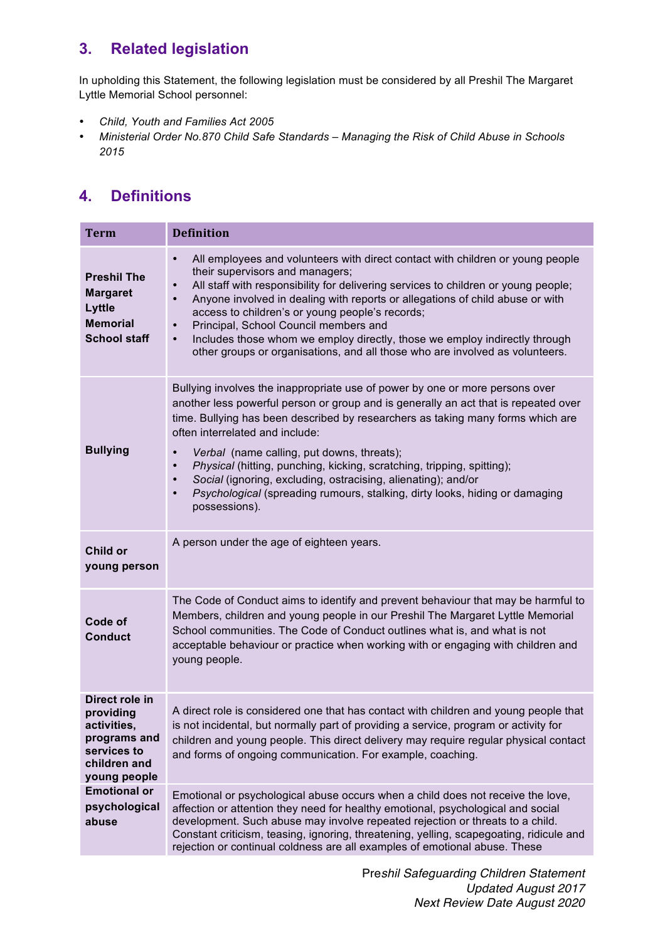# **3. Related legislation**

In upholding this Statement, the following legislation must be considered by all Preshil The Margaret Lyttle Memorial School personnel:

- *Child, Youth and Families Act 2005*
- *Ministerial Order No.870 Child Safe Standards – Managing the Risk of Child Abuse in Schools 2015*

# **4. Definitions**

| <b>Term</b>                                                                                               | <b>Definition</b>                                                                                                                                                                                                                                                                                                                                                                                                                                                                                                                                                                                                         |
|-----------------------------------------------------------------------------------------------------------|---------------------------------------------------------------------------------------------------------------------------------------------------------------------------------------------------------------------------------------------------------------------------------------------------------------------------------------------------------------------------------------------------------------------------------------------------------------------------------------------------------------------------------------------------------------------------------------------------------------------------|
| <b>Preshil The</b><br><b>Margaret</b><br>Lyttle<br><b>Memorial</b><br><b>School staff</b>                 | All employees and volunteers with direct contact with children or young people<br>$\bullet$<br>their supervisors and managers;<br>All staff with responsibility for delivering services to children or young people;<br>$\bullet$<br>Anyone involved in dealing with reports or allegations of child abuse or with<br>access to children's or young people's records;<br>Principal, School Council members and<br>Includes those whom we employ directly, those we employ indirectly through<br>$\bullet$<br>other groups or organisations, and all those who are involved as volunteers.                                 |
| <b>Bullying</b>                                                                                           | Bullying involves the inappropriate use of power by one or more persons over<br>another less powerful person or group and is generally an act that is repeated over<br>time. Bullying has been described by researchers as taking many forms which are<br>often interrelated and include:<br>Verbal (name calling, put downs, threats);<br>Physical (hitting, punching, kicking, scratching, tripping, spitting);<br>$\bullet$<br>Social (ignoring, excluding, ostracising, alienating); and/or<br>$\bullet$<br>Psychological (spreading rumours, stalking, dirty looks, hiding or damaging<br>$\bullet$<br>possessions). |
| Child or<br>young person                                                                                  | A person under the age of eighteen years.                                                                                                                                                                                                                                                                                                                                                                                                                                                                                                                                                                                 |
| Code of<br><b>Conduct</b>                                                                                 | The Code of Conduct aims to identify and prevent behaviour that may be harmful to<br>Members, children and young people in our Preshil The Margaret Lyttle Memorial<br>School communities. The Code of Conduct outlines what is, and what is not<br>acceptable behaviour or practice when working with or engaging with children and<br>young people.                                                                                                                                                                                                                                                                     |
| Direct role in<br>providing<br>activities,<br>programs and<br>services to<br>children and<br>young people | A direct role is considered one that has contact with children and young people that<br>is not incidental, but normally part of providing a service, program or activity for<br>children and young people. This direct delivery may require regular physical contact<br>and forms of ongoing communication. For example, coaching.                                                                                                                                                                                                                                                                                        |
| <b>Emotional or</b><br>psychological<br>abuse                                                             | Emotional or psychological abuse occurs when a child does not receive the love,<br>affection or attention they need for healthy emotional, psychological and social<br>development. Such abuse may involve repeated rejection or threats to a child.<br>Constant criticism, teasing, ignoring, threatening, yelling, scapegoating, ridicule and<br>rejection or continual coldness are all examples of emotional abuse. These                                                                                                                                                                                             |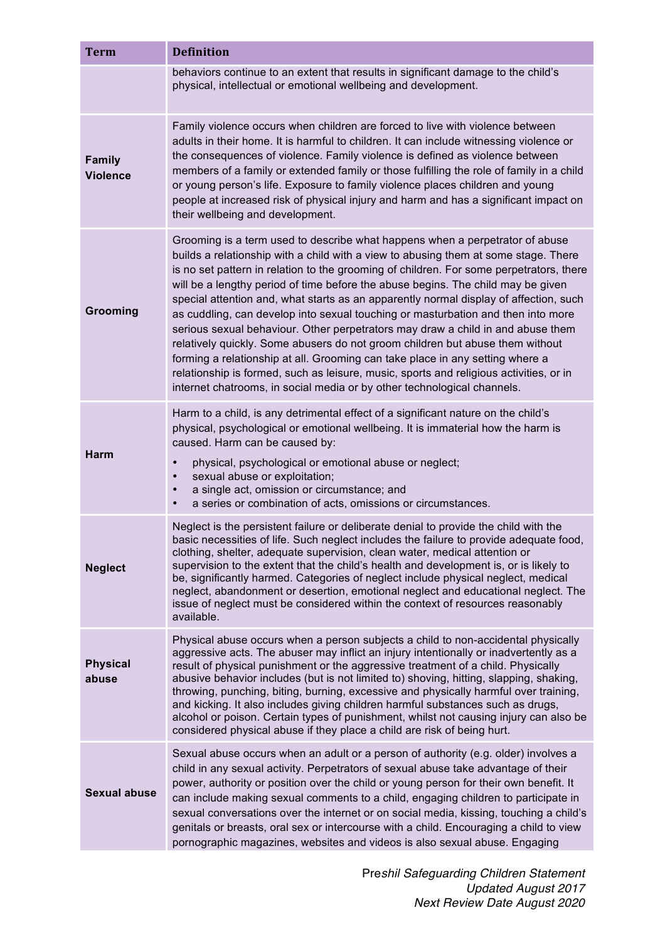| <b>Term</b>                      | <b>Definition</b>                                                                                                                                                                                                                                                                                                                                                                                                                                                                                                                                                                                                                                                                                                                                                                                                                                                                                                                                         |
|----------------------------------|-----------------------------------------------------------------------------------------------------------------------------------------------------------------------------------------------------------------------------------------------------------------------------------------------------------------------------------------------------------------------------------------------------------------------------------------------------------------------------------------------------------------------------------------------------------------------------------------------------------------------------------------------------------------------------------------------------------------------------------------------------------------------------------------------------------------------------------------------------------------------------------------------------------------------------------------------------------|
|                                  | behaviors continue to an extent that results in significant damage to the child's<br>physical, intellectual or emotional wellbeing and development.                                                                                                                                                                                                                                                                                                                                                                                                                                                                                                                                                                                                                                                                                                                                                                                                       |
| <b>Family</b><br><b>Violence</b> | Family violence occurs when children are forced to live with violence between<br>adults in their home. It is harmful to children. It can include witnessing violence or<br>the consequences of violence. Family violence is defined as violence between<br>members of a family or extended family or those fulfilling the role of family in a child<br>or young person's life. Exposure to family violence places children and young<br>people at increased risk of physical injury and harm and has a significant impact on<br>their wellbeing and development.                                                                                                                                                                                                                                                                                                                                                                                          |
| Grooming                         | Grooming is a term used to describe what happens when a perpetrator of abuse<br>builds a relationship with a child with a view to abusing them at some stage. There<br>is no set pattern in relation to the grooming of children. For some perpetrators, there<br>will be a lengthy period of time before the abuse begins. The child may be given<br>special attention and, what starts as an apparently normal display of affection, such<br>as cuddling, can develop into sexual touching or masturbation and then into more<br>serious sexual behaviour. Other perpetrators may draw a child in and abuse them<br>relatively quickly. Some abusers do not groom children but abuse them without<br>forming a relationship at all. Grooming can take place in any setting where a<br>relationship is formed, such as leisure, music, sports and religious activities, or in<br>internet chatrooms, in social media or by other technological channels. |
| <b>Harm</b>                      | Harm to a child, is any detrimental effect of a significant nature on the child's<br>physical, psychological or emotional wellbeing. It is immaterial how the harm is<br>caused. Harm can be caused by:<br>physical, psychological or emotional abuse or neglect;<br>sexual abuse or exploitation;<br>a single act, omission or circumstance; and<br>a series or combination of acts, omissions or circumstances.                                                                                                                                                                                                                                                                                                                                                                                                                                                                                                                                         |
| <b>Neglect</b>                   | Neglect is the persistent failure or deliberate denial to provide the child with the<br>basic necessities of life. Such neglect includes the failure to provide adequate food,<br>clothing, shelter, adequate supervision, clean water, medical attention or<br>supervision to the extent that the child's health and development is, or is likely to<br>be, significantly harmed. Categories of neglect include physical neglect, medical<br>neglect, abandonment or desertion, emotional neglect and educational neglect. The<br>issue of neglect must be considered within the context of resources reasonably<br>available.                                                                                                                                                                                                                                                                                                                           |
| <b>Physical</b><br>abuse         | Physical abuse occurs when a person subjects a child to non-accidental physically<br>aggressive acts. The abuser may inflict an injury intentionally or inadvertently as a<br>result of physical punishment or the aggressive treatment of a child. Physically<br>abusive behavior includes (but is not limited to) shoving, hitting, slapping, shaking,<br>throwing, punching, biting, burning, excessive and physically harmful over training,<br>and kicking. It also includes giving children harmful substances such as drugs,<br>alcohol or poison. Certain types of punishment, whilst not causing injury can also be<br>considered physical abuse if they place a child are risk of being hurt.                                                                                                                                                                                                                                                   |
| <b>Sexual abuse</b>              | Sexual abuse occurs when an adult or a person of authority (e.g. older) involves a<br>child in any sexual activity. Perpetrators of sexual abuse take advantage of their<br>power, authority or position over the child or young person for their own benefit. It<br>can include making sexual comments to a child, engaging children to participate in<br>sexual conversations over the internet or on social media, kissing, touching a child's<br>genitals or breasts, oral sex or intercourse with a child. Encouraging a child to view<br>pornographic magazines, websites and videos is also sexual abuse. Engaging                                                                                                                                                                                                                                                                                                                                 |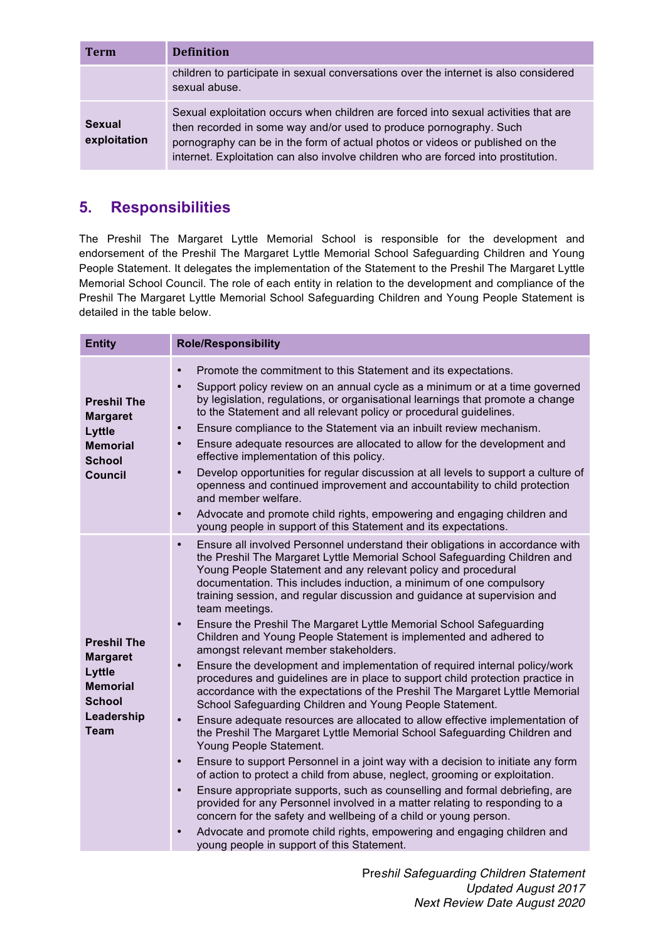| <b>Term</b>            | <b>Definition</b>                                                                                                                                                                                                                                                                                                                |
|------------------------|----------------------------------------------------------------------------------------------------------------------------------------------------------------------------------------------------------------------------------------------------------------------------------------------------------------------------------|
|                        | children to participate in sexual conversations over the internet is also considered<br>sexual abuse.                                                                                                                                                                                                                            |
| Sexual<br>exploitation | Sexual exploitation occurs when children are forced into sexual activities that are<br>then recorded in some way and/or used to produce pornography. Such<br>pornography can be in the form of actual photos or videos or published on the<br>internet. Exploitation can also involve children who are forced into prostitution. |

# **5. Responsibilities**

The Preshil The Margaret Lyttle Memorial School is responsible for the development and endorsement of the Preshil The Margaret Lyttle Memorial School Safeguarding Children and Young People Statement. It delegates the implementation of the Statement to the Preshil The Margaret Lyttle Memorial School Council. The role of each entity in relation to the development and compliance of the Preshil The Margaret Lyttle Memorial School Safeguarding Children and Young People Statement is detailed in the table below.

| <b>Entity</b>                                                                                             | <b>Role/Responsibility</b>                                                                                                                                                                                                                                                                                                                                                                                                                                                                                                                                                                                                                                                                                                                                                                                                                                                                                                                                                                                                                                                                                                                                                                                                                                                                                                                                                                                                                                                                                                                                                                                                                                                                           |  |
|-----------------------------------------------------------------------------------------------------------|------------------------------------------------------------------------------------------------------------------------------------------------------------------------------------------------------------------------------------------------------------------------------------------------------------------------------------------------------------------------------------------------------------------------------------------------------------------------------------------------------------------------------------------------------------------------------------------------------------------------------------------------------------------------------------------------------------------------------------------------------------------------------------------------------------------------------------------------------------------------------------------------------------------------------------------------------------------------------------------------------------------------------------------------------------------------------------------------------------------------------------------------------------------------------------------------------------------------------------------------------------------------------------------------------------------------------------------------------------------------------------------------------------------------------------------------------------------------------------------------------------------------------------------------------------------------------------------------------------------------------------------------------------------------------------------------------|--|
| <b>Preshil The</b><br><b>Margaret</b><br>Lyttle<br><b>Memorial</b><br><b>School</b><br><b>Council</b>     | Promote the commitment to this Statement and its expectations.<br>$\bullet$<br>Support policy review on an annual cycle as a minimum or at a time governed<br>$\bullet$<br>by legislation, regulations, or organisational learnings that promote a change<br>to the Statement and all relevant policy or procedural guidelines.<br>Ensure compliance to the Statement via an inbuilt review mechanism.<br>$\bullet$<br>Ensure adequate resources are allocated to allow for the development and<br>$\bullet$<br>effective implementation of this policy.<br>Develop opportunities for regular discussion at all levels to support a culture of<br>$\bullet$<br>openness and continued improvement and accountability to child protection<br>and member welfare.<br>Advocate and promote child rights, empowering and engaging children and<br>$\bullet$<br>young people in support of this Statement and its expectations.                                                                                                                                                                                                                                                                                                                                                                                                                                                                                                                                                                                                                                                                                                                                                                           |  |
| <b>Preshil The</b><br><b>Margaret</b><br>Lyttle<br><b>Memorial</b><br>School<br>Leadership<br><b>Team</b> | Ensure all involved Personnel understand their obligations in accordance with<br>$\bullet$<br>the Preshil The Margaret Lyttle Memorial School Safeguarding Children and<br>Young People Statement and any relevant policy and procedural<br>documentation. This includes induction, a minimum of one compulsory<br>training session, and regular discussion and guidance at supervision and<br>team meetings.<br>Ensure the Preshil The Margaret Lyttle Memorial School Safeguarding<br>$\bullet$<br>Children and Young People Statement is implemented and adhered to<br>amongst relevant member stakeholders.<br>Ensure the development and implementation of required internal policy/work<br>$\bullet$<br>procedures and guidelines are in place to support child protection practice in<br>accordance with the expectations of the Preshil The Margaret Lyttle Memorial<br>School Safeguarding Children and Young People Statement.<br>Ensure adequate resources are allocated to allow effective implementation of<br>$\bullet$<br>the Preshil The Margaret Lyttle Memorial School Safeguarding Children and<br>Young People Statement.<br>Ensure to support Personnel in a joint way with a decision to initiate any form<br>$\bullet$<br>of action to protect a child from abuse, neglect, grooming or exploitation.<br>Ensure appropriate supports, such as counselling and formal debriefing, are<br>$\bullet$<br>provided for any Personnel involved in a matter relating to responding to a<br>concern for the safety and wellbeing of a child or young person.<br>Advocate and promote child rights, empowering and engaging children and<br>young people in support of this Statement. |  |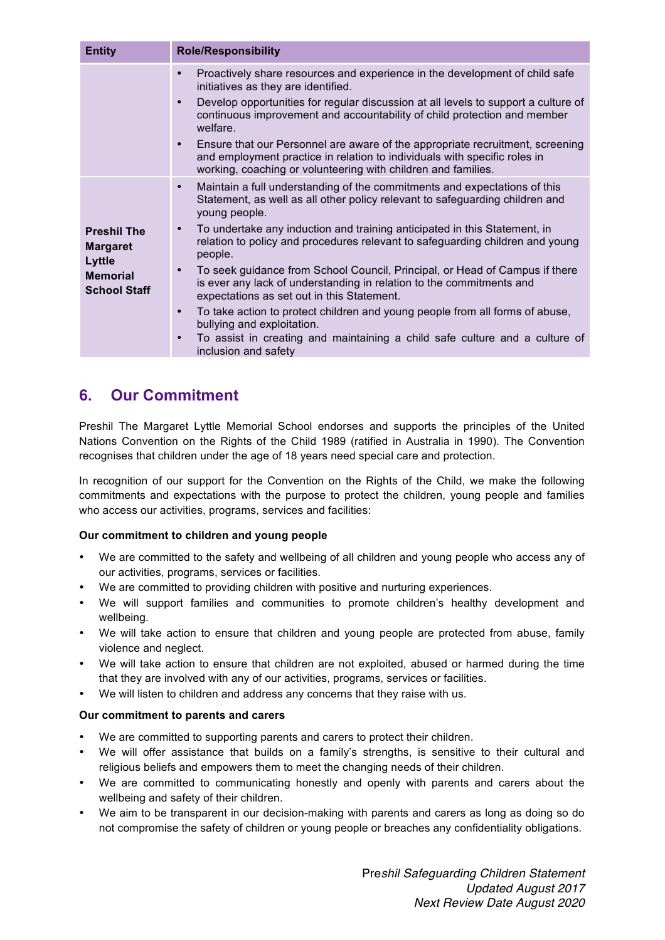| <b>Entity</b>                                                                                    | <b>Role/Responsibility</b>                                                                                                                                                                                                                                                                                                                                                                                                                                                                                                                                                                                                                                                                                                                                                                                                                     |  |
|--------------------------------------------------------------------------------------------------|------------------------------------------------------------------------------------------------------------------------------------------------------------------------------------------------------------------------------------------------------------------------------------------------------------------------------------------------------------------------------------------------------------------------------------------------------------------------------------------------------------------------------------------------------------------------------------------------------------------------------------------------------------------------------------------------------------------------------------------------------------------------------------------------------------------------------------------------|--|
|                                                                                                  | Proactively share resources and experience in the development of child safe<br>$\bullet$<br>initiatives as they are identified.<br>Develop opportunities for regular discussion at all levels to support a culture of<br>$\bullet$<br>continuous improvement and accountability of child protection and member<br>welfare.<br>Ensure that our Personnel are aware of the appropriate recruitment, screening<br>$\bullet$<br>and employment practice in relation to individuals with specific roles in<br>working, coaching or volunteering with children and families.                                                                                                                                                                                                                                                                         |  |
| <b>Preshil The</b><br><b>Margaret</b><br><b>Lyttle</b><br><b>Memorial</b><br><b>School Staff</b> | Maintain a full understanding of the commitments and expectations of this<br>$\bullet$<br>Statement, as well as all other policy relevant to safeguarding children and<br>young people.<br>To undertake any induction and training anticipated in this Statement, in<br>$\bullet$<br>relation to policy and procedures relevant to safeguarding children and young<br>people.<br>To seek guidance from School Council, Principal, or Head of Campus if there<br>$\bullet$<br>is ever any lack of understanding in relation to the commitments and<br>expectations as set out in this Statement.<br>To take action to protect children and young people from all forms of abuse,<br>$\bullet$<br>bullying and exploitation.<br>To assist in creating and maintaining a child safe culture and a culture of<br>$\bullet$<br>inclusion and safety |  |

## **6. Our Commitment**

Preshil The Margaret Lyttle Memorial School endorses and supports the principles of the United Nations Convention on the Rights of the Child 1989 (ratified in Australia in 1990). The Convention recognises that children under the age of 18 years need special care and protection.

In recognition of our support for the Convention on the Rights of the Child, we make the following commitments and expectations with the purpose to protect the children, young people and families who access our activities, programs, services and facilities:

### **Our commitment to children and young people**

- We are committed to the safety and wellbeing of all children and young people who access any of our activities, programs, services or facilities.
- We are committed to providing children with positive and nurturing experiences.
- We will support families and communities to promote children's healthy development and wellbeing.
- We will take action to ensure that children and young people are protected from abuse, family violence and neglect.
- We will take action to ensure that children are not exploited, abused or harmed during the time that they are involved with any of our activities, programs, services or facilities.
- We will listen to children and address any concerns that they raise with us.

### **Our commitment to parents and carers**

- We are committed to supporting parents and carers to protect their children.
- We will offer assistance that builds on a family's strengths, is sensitive to their cultural and religious beliefs and empowers them to meet the changing needs of their children.
- We are committed to communicating honestly and openly with parents and carers about the wellbeing and safety of their children.
- We aim to be transparent in our decision-making with parents and carers as long as doing so do not compromise the safety of children or young people or breaches any confidentiality obligations.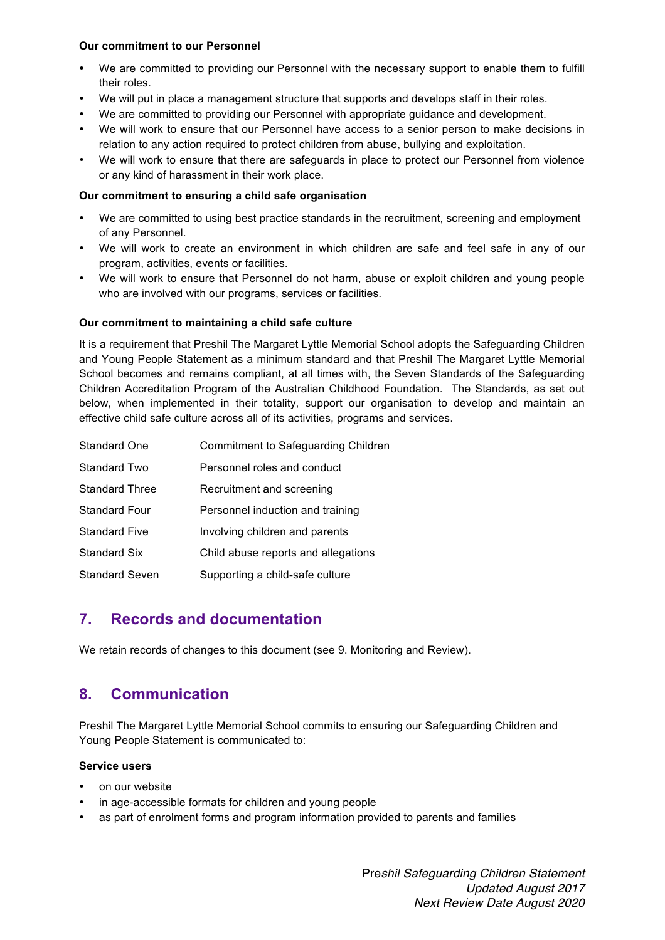#### **Our commitment to our Personnel**

- We are committed to providing our Personnel with the necessary support to enable them to fulfill their roles.
- We will put in place a management structure that supports and develops staff in their roles.
- We are committed to providing our Personnel with appropriate guidance and development.
- We will work to ensure that our Personnel have access to a senior person to make decisions in relation to any action required to protect children from abuse, bullying and exploitation.
- We will work to ensure that there are safeguards in place to protect our Personnel from violence or any kind of harassment in their work place.

### **Our commitment to ensuring a child safe organisation**

- We are committed to using best practice standards in the recruitment, screening and employment of any Personnel.
- We will work to create an environment in which children are safe and feel safe in any of our program, activities, events or facilities.
- We will work to ensure that Personnel do not harm, abuse or exploit children and young people who are involved with our programs, services or facilities.

### **Our commitment to maintaining a child safe culture**

It is a requirement that Preshil The Margaret Lyttle Memorial School adopts the Safeguarding Children and Young People Statement as a minimum standard and that Preshil The Margaret Lyttle Memorial School becomes and remains compliant, at all times with, the Seven Standards of the Safeguarding Children Accreditation Program of the Australian Childhood Foundation. The Standards, as set out below, when implemented in their totality, support our organisation to develop and maintain an effective child safe culture across all of its activities, programs and services.

| Standard One          | Commitment to Safeguarding Children |
|-----------------------|-------------------------------------|
| Standard Two          | Personnel roles and conduct         |
| <b>Standard Three</b> | Recruitment and screening           |
| <b>Standard Four</b>  | Personnel induction and training    |
| <b>Standard Five</b>  | Involving children and parents      |
| <b>Standard Six</b>   | Child abuse reports and allegations |
| <b>Standard Seven</b> | Supporting a child-safe culture     |

### **7. Records and documentation**

We retain records of changes to this document (see 9. Monitoring and Review).

### **8. Communication**

Preshil The Margaret Lyttle Memorial School commits to ensuring our Safeguarding Children and Young People Statement is communicated to:

### **Service users**

- on our website
- in age-accessible formats for children and young people
- as part of enrolment forms and program information provided to parents and families